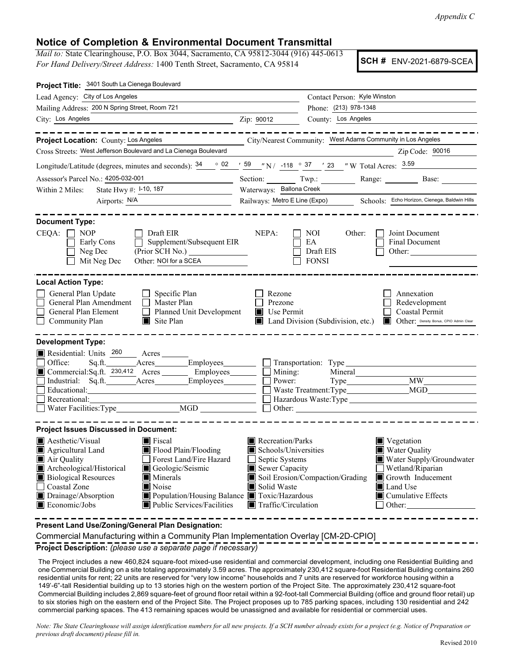*Appendix C*

## **Notice of Completion & Environmental Document Transmittal**

*Mail to:* State Clearinghouse, P.O. Box 3044, Sacramento, CA 95812-3044 (916) 445-0613 *For Hand Delivery/Street Address:* 1400 Tenth Street, Sacramento, CA 95814

**SCH #** ENV-2021-6879-SCEA

| Project Title: 3401 South La Cienega Boulevard                                                                                                                                                                                                                                                                                                                                                                          |                                                                                                                                                                                                                                                                |                                                                                                        |  |
|-------------------------------------------------------------------------------------------------------------------------------------------------------------------------------------------------------------------------------------------------------------------------------------------------------------------------------------------------------------------------------------------------------------------------|----------------------------------------------------------------------------------------------------------------------------------------------------------------------------------------------------------------------------------------------------------------|--------------------------------------------------------------------------------------------------------|--|
| Lead Agency: City of Los Angeles                                                                                                                                                                                                                                                                                                                                                                                        | Contact Person: Kyle Winston                                                                                                                                                                                                                                   |                                                                                                        |  |
| Mailing Address: 200 N Spring Street, Room 721                                                                                                                                                                                                                                                                                                                                                                          | Phone: (213) 978-1348                                                                                                                                                                                                                                          |                                                                                                        |  |
| City: Los Angeles                                                                                                                                                                                                                                                                                                                                                                                                       | County: Los Angeles<br>Zip: 90012                                                                                                                                                                                                                              |                                                                                                        |  |
| . _ _ _ _ _ _ _ _                                                                                                                                                                                                                                                                                                                                                                                                       |                                                                                                                                                                                                                                                                |                                                                                                        |  |
| Project Location: County: Los Angeles                                                                                                                                                                                                                                                                                                                                                                                   | City/Nearest Community: West Adams Community in Los Angeles                                                                                                                                                                                                    |                                                                                                        |  |
| Cross Streets: West Jefferson Boulevard and La Cienega Boulevard                                                                                                                                                                                                                                                                                                                                                        |                                                                                                                                                                                                                                                                | Zip Code: 90016                                                                                        |  |
| Longitude/Latitude (degrees, minutes and seconds): $\frac{34}{2}$ $\frac{02}{59}$ $\frac{159}{2}$ $\frac{1}{2}$ 118 $\frac{037}{2}$ $\frac{1}{2}$ 23 $\frac{1}{2}$ W Total Acres: $\frac{3.59}{2}$                                                                                                                                                                                                                      |                                                                                                                                                                                                                                                                |                                                                                                        |  |
| Assessor's Parcel No.: 4205-032-001                                                                                                                                                                                                                                                                                                                                                                                     | Section: Twp.:                                                                                                                                                                                                                                                 |                                                                                                        |  |
| State Hwy #: 1-10, 187<br>Within 2 Miles:                                                                                                                                                                                                                                                                                                                                                                               | Waterways: Ballona Creek                                                                                                                                                                                                                                       |                                                                                                        |  |
|                                                                                                                                                                                                                                                                                                                                                                                                                         | Railways: Metro E Line (Expo) Schools: Echo Horizon, Cienega, Baldwin Hills                                                                                                                                                                                    |                                                                                                        |  |
| <b>Document Type:</b><br>CEQA:<br>NOP<br>$\Box$ Draft EIR<br>Supplement/Subsequent EIR<br>Early Cons<br>Neg Dec<br>Mit Neg Dec<br>Other: NOI for a SCEA                                                                                                                                                                                                                                                                 | NEPA:<br>Other:<br>NOI<br>EA<br>Draft EIS<br><b>FONSI</b>                                                                                                                                                                                                      | Joint Document<br><b>Final Document</b><br>Other:                                                      |  |
| <b>Local Action Type:</b><br>General Plan Update<br>$\Box$ Specific Plan<br>General Plan Amendment<br>Master Plan<br>General Plan Element<br>$\Box$ Planned Unit Development<br>Community Plan<br>$\blacksquare$ Site Plan                                                                                                                                                                                              | Rezone<br>Prezone<br>$\blacksquare$ Use Permit<br>Land Division (Subdivision, etc.)<br>HE H                                                                                                                                                                    | Annexation<br>Redevelopment<br>Coastal Permit<br>Other: Density Bonus, CPIO Admin Clear                |  |
| <b>Development Type:</b><br>Residential: Units 260 Acres<br>Office:<br>Commercial:Sq.ft. 230,412 Acres _______ Employees________<br>Educational: <u>Contractional</u><br>Recreational:<br>Water Facilities: Type $MGD$ $\Box$ Other: $\Box$ Other:                                                                                                                                                                      | Sq.ft. Acres Employees Transportation: Type<br>Mining:<br>Power:                                                                                                                                                                                               | <b>MW</b>                                                                                              |  |
| <b>Project Issues Discussed in Document:</b>                                                                                                                                                                                                                                                                                                                                                                            |                                                                                                                                                                                                                                                                |                                                                                                        |  |
| $\blacksquare$ Aesthetic/Visual<br>$\blacksquare$ Fiscal<br>Agricultural Land<br>Flood Plain/Flooding<br>Forest Land/Fire Hazard<br>$\blacksquare$ Air Quality<br>Archeological/Historical<br>Geologic/Seismic<br><b>Biological Resources</b><br>Minerals<br>Noise<br>Coastal Zone<br>Drainage/Absorption<br>Population/Housing Balance Toxic/Hazardous<br>$\blacksquare$ Economic/Jobs<br>■ Public Services/Facilities | Recreation/Parks<br>$\blacksquare$ Vegetation<br>Schools/Universities<br><b>Water Quality</b><br>Septic Systems<br>Sewer Capacity<br>Soil Erosion/Compaction/Grading<br>Solid Waste<br>$\blacksquare$ Land Use<br>$\blacksquare$ Traffic/Circulation<br>Other: | Water Supply/Groundwater<br>Wetland/Riparian<br>Growth Inducement<br>$\blacksquare$ Cumulative Effects |  |
| Present Land Use/Zoning/General Plan Designation:<br>Commercial Manufacturing within a Community Plan Implementation Overlay [CM 2D CPIO]                                                                                                                                                                                                                                                                               |                                                                                                                                                                                                                                                                |                                                                                                        |  |

Commercial Manufacturing within a Community Plan Implementation Overlay [CM-2D-CPIO] **Project Description:** *(please use a separate page if necessary)*

The Project includes a new 460,824 square-foot mixed-use residential and commercial development, including one Residential Building and one Commercial Building on a site totaling approximately 3.59 acres. The approximately 230,412 square-foot Residential Building contains 260 residential units for rent; 22 units are reserved for "very low income" households and 7 units are reserved for workforce housing within a 149'-6"-tall Residential building up to 13 stories high on the western portion of the Project Site. The approximately 230,412 square-foot Commercial Building includes 2,869 square-feet of ground floor retail within a 92-foot-tall Commercial Building (office and ground floor retail) up to six stories high on the eastern end of the Project Site. The Project proposes up to 785 parking spaces, including 130 residential and 242 commercial parking spaces. The 413 remaining spaces would be unassigned and available for residential or commercial uses.

*Note: The State Clearinghouse will assign identification numbers for all new projects. If a SCH number already exists for a project (e.g. Notice of Preparation or previous draft document) please fill in.*